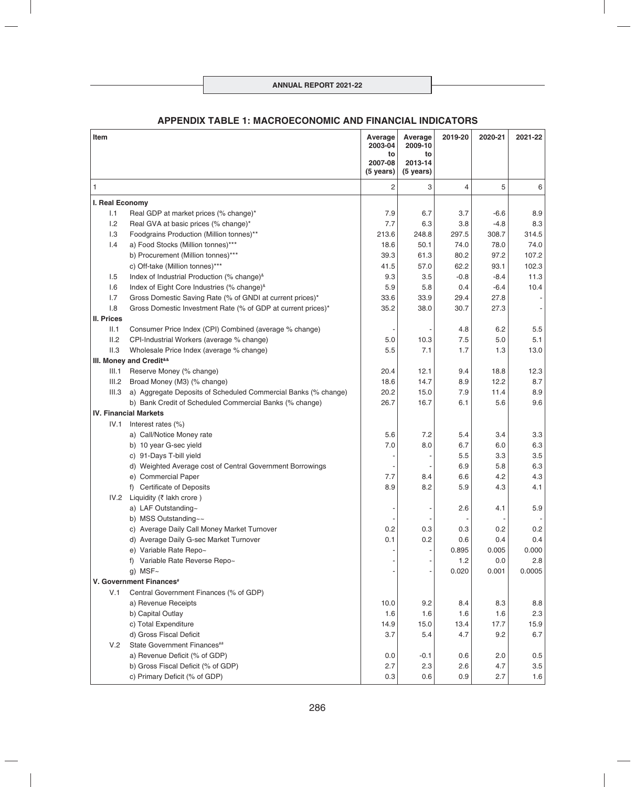## **APPENDIX TABLE 1: MACROECONOMIC AND FINANCIAL INDICATORS**

| Item                                        |                                                                | Average<br>2003-04   | Average<br>2009-10   | 2019-20 | 2020-21 | 2021-22 |
|---------------------------------------------|----------------------------------------------------------------|----------------------|----------------------|---------|---------|---------|
|                                             |                                                                | to                   | to                   |         |         |         |
|                                             |                                                                | 2007-08<br>(5 years) | 2013-14<br>(5 years) |         |         |         |
| 1                                           |                                                                | 2                    | 3                    | 4       | 5       | 6       |
| I. Real Economy                             |                                                                |                      |                      |         |         |         |
| 1.1                                         | Real GDP at market prices (% change)*                          | 7.9                  | 6.7                  | 3.7     | $-6.6$  | 8.9     |
| 1.2                                         | Real GVA at basic prices (% change)*                           | 7.7                  | 6.3                  | 3.8     | $-4.8$  | 8.3     |
| 1.3                                         | Foodgrains Production (Million tonnes)**                       | 213.6                | 248.8                | 297.5   | 308.7   | 314.5   |
| 1.4                                         | a) Food Stocks (Million tonnes)***                             | 18.6                 | 50.1                 | 74.0    | 78.0    | 74.0    |
|                                             | b) Procurement (Million tonnes)***                             | 39.3                 | 61.3                 | 80.2    | 97.2    | 107.2   |
|                                             | c) Off-take (Million tonnes)***                                | 41.5                 | 57.0                 | 62.2    | 93.1    | 102.3   |
| 1.5                                         | Index of Industrial Production (% change) <sup>&amp;</sup>     | 9.3                  | 3.5                  | $-0.8$  | $-8.4$  | 11.3    |
| 1.6                                         | Index of Eight Core Industries (% change) <sup>&amp;</sup>     | 5.9                  | 5.8                  | 0.4     | $-6.4$  | 10.4    |
| 1.7                                         | Gross Domestic Saving Rate (% of GNDI at current prices)*      | 33.6                 | 33.9                 | 29.4    | 27.8    |         |
| 1.8                                         | Gross Domestic Investment Rate (% of GDP at current prices)*   | 35.2                 | 38.0                 | 30.7    | 27.3    |         |
| <b>II. Prices</b>                           |                                                                |                      |                      |         |         |         |
| II.1                                        | Consumer Price Index (CPI) Combined (average % change)         |                      |                      | 4.8     | 6.2     | 5.5     |
| II.2                                        | CPI-Industrial Workers (average % change)                      | 5.0                  | 10.3                 | 7.5     | 5.0     | 5.1     |
| II.3                                        | Wholesale Price Index (average % change)                       | 5.5                  | 7.1                  | 1.7     | 1.3     | 13.0    |
| III. Money and Credit <sup>&amp;&amp;</sup> |                                                                |                      |                      |         |         |         |
| III.1                                       | Reserve Money (% change)                                       | 20.4                 | 12.1                 | 9.4     | 18.8    | 12.3    |
| III.2                                       | Broad Money (M3) (% change)                                    | 18.6                 | 14.7                 | 8.9     | 12.2    | 8.7     |
| III.3                                       | a) Aggregate Deposits of Scheduled Commercial Banks (% change) | 20.2                 | 15.0                 | 7.9     | 11.4    | 8.9     |
|                                             | b) Bank Credit of Scheduled Commercial Banks (% change)        | 26.7                 | 16.7                 | 6.1     | 5.6     | 9.6     |
|                                             | <b>IV. Financial Markets</b>                                   |                      |                      |         |         |         |
| IV.1                                        | Interest rates (%)                                             |                      |                      |         |         |         |
|                                             | a) Call/Notice Money rate                                      | 5.6                  | 7.2                  | 5.4     | 3.4     | 3.3     |
|                                             | b) 10 year G-sec yield                                         | 7.0                  | 8.0                  | 6.7     | 6.0     | 6.3     |
|                                             | c) 91-Days T-bill yield                                        |                      |                      | 5.5     | 3.3     | 3.5     |
|                                             | d) Weighted Average cost of Central Government Borrowings      |                      |                      | 6.9     | 5.8     | 6.3     |
|                                             | e) Commercial Paper                                            | 7.7                  | 8.4                  | 6.6     | 4.2     | 4.3     |
|                                             | f) Certificate of Deposits                                     | 8.9                  | 8.2                  | 5.9     | 4.3     | 4.1     |
| IV.2                                        | Liquidity (₹ lakh crore)                                       |                      |                      |         |         |         |
|                                             | a) LAF Outstanding~                                            |                      |                      | 2.6     | 4.1     | 5.9     |
|                                             | b) MSS Outstanding~~                                           |                      |                      |         |         |         |
|                                             | c) Average Daily Call Money Market Turnover                    | 0.2                  | 0.3                  | 0.3     | 0.2     | 0.2     |
|                                             | d) Average Daily G-sec Market Turnover                         | 0.1                  | 0.2                  | 0.6     | 0.4     | 0.4     |
|                                             | e) Variable Rate Repo~                                         |                      |                      | 0.895   | 0.005   | 0.000   |
|                                             | f) Variable Rate Reverse Repo~                                 |                      |                      | 1.2     | 0.0     | 2.8     |
|                                             | g) $MSF~$                                                      |                      |                      | 0.020   | 0.001   | 0.0005  |
|                                             | V. Government Finances <sup>#</sup>                            |                      |                      |         |         |         |
| V.1                                         | Central Government Finances (% of GDP)                         |                      |                      |         |         |         |
|                                             | a) Revenue Receipts                                            | 10.0                 | 9.2                  | 8.4     | 8.3     | 8.8     |
|                                             | b) Capital Outlay                                              | 1.6                  | 1.6                  | 1.6     | 1.6     | 2.3     |
|                                             | c) Total Expenditure                                           | 14.9                 | 15.0                 | 13.4    | 17.7    | 15.9    |
|                                             | d) Gross Fiscal Deficit                                        | 3.7                  | 5.4                  | 4.7     | 9.2     | 6.7     |
| V.2                                         | State Government Finances##                                    |                      |                      |         |         |         |
|                                             | a) Revenue Deficit (% of GDP)                                  | 0.0                  | $-0.1$               | 0.6     | 2.0     | 0.5     |
|                                             | b) Gross Fiscal Deficit (% of GDP)                             | 2.7                  | 2.3                  | 2.6     | 4.7     | 3.5     |
|                                             | c) Primary Deficit (% of GDP)                                  | 0.3                  | 0.6                  | 0.9     | 2.7     | 1.6     |